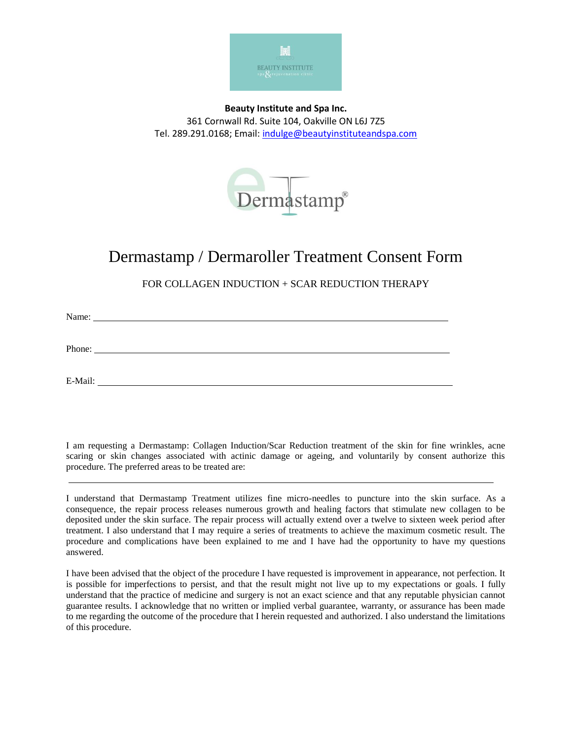

**Beauty Institute and Spa Inc.** 361 Cornwall Rd. Suite 104, Oakville ON L6J 7Z5 Tel. 289.291.0168; Email: [indulge@beautyinstituteandspa.com](mailto:indulge@beautyinstituteandspa.com)



## Dermastamp / Dermaroller Treatment Consent Form

FOR COLLAGEN INDUCTION + SCAR REDUCTION THERAPY

Name: Name: Name: Name: Name: Name: Name: Name: Name: Name: Name: Name: Name: Name: Name: Name: Name: Name: Name: Name: Name: Name: Name: Name: Name: Name: Name: Name: Name: Name: Name: Name: Name: Name: Name: Name: Name:

Phone: The contract of the contract of the contract of the contract of the contract of the contract of the contract of the contract of the contract of the contract of the contract of the contract of the contract of the con

E-Mail:

I am requesting a Dermastamp: Collagen Induction/Scar Reduction treatment of the skin for fine wrinkles, acne scaring or skin changes associated with actinic damage or ageing, and voluntarily by consent authorize this procedure. The preferred areas to be treated are:

I understand that Dermastamp Treatment utilizes fine micro-needles to puncture into the skin surface. As a consequence, the repair process releases numerous growth and healing factors that stimulate new collagen to be deposited under the skin surface. The repair process will actually extend over a twelve to sixteen week period after treatment. I also understand that I may require a series of treatments to achieve the maximum cosmetic result. The procedure and complications have been explained to me and I have had the opportunity to have my questions answered.

I have been advised that the object of the procedure I have requested is improvement in appearance, not perfection. It is possible for imperfections to persist, and that the result might not live up to my expectations or goals. I fully understand that the practice of medicine and surgery is not an exact science and that any reputable physician cannot guarantee results. I acknowledge that no written or implied verbal guarantee, warranty, or assurance has been made to me regarding the outcome of the procedure that I herein requested and authorized. I also understand the limitations of this procedure.